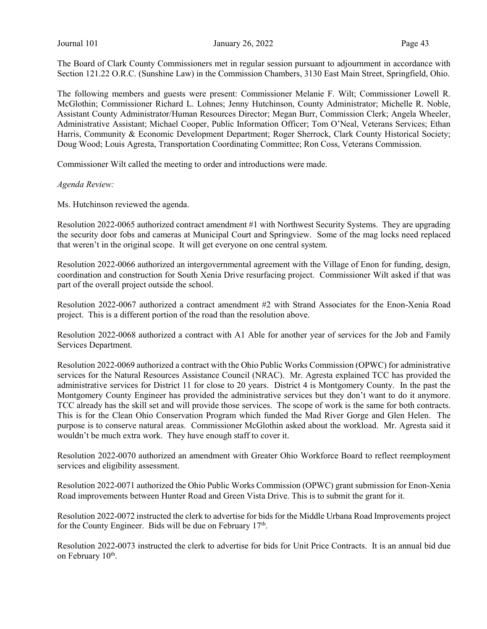Journal 101 January 26, 2022 Page 43

The Board of Clark County Commissioners met in regular session pursuant to adjournment in accordance with Section 121.22 O.R.C. (Sunshine Law) in the Commission Chambers, 3130 East Main Street, Springfield, Ohio.

The following members and guests were present: Commissioner Melanie F. Wilt; Commissioner Lowell R. McGlothin; Commissioner Richard L. Lohnes; Jenny Hutchinson, County Administrator; Michelle R. Noble, Assistant County Administrator/Human Resources Director; Megan Burr, Commission Clerk; Angela Wheeler, Administrative Assistant; Michael Cooper, Public Information Officer; Tom O'Neal, Veterans Services; Ethan Harris, Community & Economic Development Department; Roger Sherrock, Clark County Historical Society; Doug Wood; Louis Agresta, Transportation Coordinating Committee; Ron Coss, Veterans Commission.

Commissioner Wilt called the meeting to order and introductions were made.

#### Agenda Review:

Ms. Hutchinson reviewed the agenda.

Resolution 2022-0065 authorized contract amendment #1 with Northwest Security Systems. They are upgrading the security door fobs and cameras at Municipal Court and Springview. Some of the mag locks need replaced that weren't in the original scope. It will get everyone on one central system.

Resolution 2022-0066 authorized an intergovernmental agreement with the Village of Enon for funding, design, coordination and construction for South Xenia Drive resurfacing project. Commissioner Wilt asked if that was part of the overall project outside the school.

Resolution 2022-0067 authorized a contract amendment #2 with Strand Associates for the Enon-Xenia Road project. This is a different portion of the road than the resolution above.

Resolution 2022-0068 authorized a contract with A1 Able for another year of services for the Job and Family Services Department.

Resolution 2022-0069 authorized a contract with the Ohio Public Works Commission (OPWC) for administrative services for the Natural Resources Assistance Council (NRAC). Mr. Agresta explained TCC has provided the administrative services for District 11 for close to 20 years. District 4 is Montgomery County. In the past the Montgomery County Engineer has provided the administrative services but they don't want to do it anymore. TCC already has the skill set and will provide those services. The scope of work is the same for both contracts. This is for the Clean Ohio Conservation Program which funded the Mad River Gorge and Glen Helen. The purpose is to conserve natural areas. Commissioner McGlothin asked about the workload. Mr. Agresta said it wouldn't be much extra work. They have enough staff to cover it.

Resolution 2022-0070 authorized an amendment with Greater Ohio Workforce Board to reflect reemployment services and eligibility assessment.

Resolution 2022-0071 authorized the Ohio Public Works Commission (OPWC) grant submission for Enon-Xenia Road improvements between Hunter Road and Green Vista Drive. This is to submit the grant for it.

Resolution 2022-0072 instructed the clerk to advertise for bids for the Middle Urbana Road Improvements project for the County Engineer. Bids will be due on February  $17<sup>th</sup>$ .

Resolution 2022-0073 instructed the clerk to advertise for bids for Unit Price Contracts. It is an annual bid due on February 10<sup>th</sup>.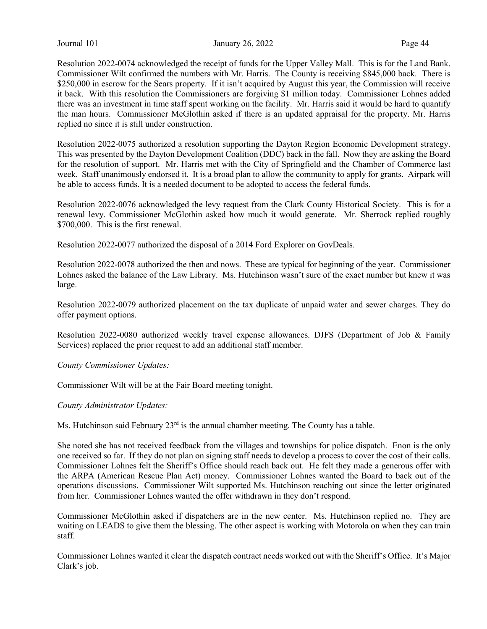Journal 101 January 26, 2022 Page 44

Resolution 2022-0074 acknowledged the receipt of funds for the Upper Valley Mall. This is for the Land Bank. Commissioner Wilt confirmed the numbers with Mr. Harris. The County is receiving \$845,000 back. There is \$250,000 in escrow for the Sears property. If it isn't acquired by August this year, the Commission will receive it back. With this resolution the Commissioners are forgiving \$1 million today. Commissioner Lohnes added there was an investment in time staff spent working on the facility. Mr. Harris said it would be hard to quantify the man hours. Commissioner McGlothin asked if there is an updated appraisal for the property. Mr. Harris replied no since it is still under construction.

Resolution 2022-0075 authorized a resolution supporting the Dayton Region Economic Development strategy. This was presented by the Dayton Development Coalition (DDC) back in the fall. Now they are asking the Board for the resolution of support. Mr. Harris met with the City of Springfield and the Chamber of Commerce last week. Staff unanimously endorsed it. It is a broad plan to allow the community to apply for grants. Airpark will be able to access funds. It is a needed document to be adopted to access the federal funds.

Resolution 2022-0076 acknowledged the levy request from the Clark County Historical Society. This is for a renewal levy. Commissioner McGlothin asked how much it would generate. Mr. Sherrock replied roughly \$700,000. This is the first renewal.

Resolution 2022-0077 authorized the disposal of a 2014 Ford Explorer on GovDeals.

Resolution 2022-0078 authorized the then and nows. These are typical for beginning of the year. Commissioner Lohnes asked the balance of the Law Library. Ms. Hutchinson wasn't sure of the exact number but knew it was large.

Resolution 2022-0079 authorized placement on the tax duplicate of unpaid water and sewer charges. They do offer payment options.

Resolution 2022-0080 authorized weekly travel expense allowances. DJFS (Department of Job & Family Services) replaced the prior request to add an additional staff member.

County Commissioner Updates:

Commissioner Wilt will be at the Fair Board meeting tonight.

County Administrator Updates:

Ms. Hutchinson said February 23<sup>rd</sup> is the annual chamber meeting. The County has a table.

She noted she has not received feedback from the villages and townships for police dispatch. Enon is the only one received so far. If they do not plan on signing staff needs to develop a process to cover the cost of their calls. Commissioner Lohnes felt the Sheriff's Office should reach back out. He felt they made a generous offer with the ARPA (American Rescue Plan Act) money. Commissioner Lohnes wanted the Board to back out of the operations discussions. Commissioner Wilt supported Ms. Hutchinson reaching out since the letter originated from her. Commissioner Lohnes wanted the offer withdrawn in they don't respond.

Commissioner McGlothin asked if dispatchers are in the new center. Ms. Hutchinson replied no. They are waiting on LEADS to give them the blessing. The other aspect is working with Motorola on when they can train staff.

Commissioner Lohnes wanted it clear the dispatch contract needs worked out with the Sheriff's Office. It's Major Clark's job.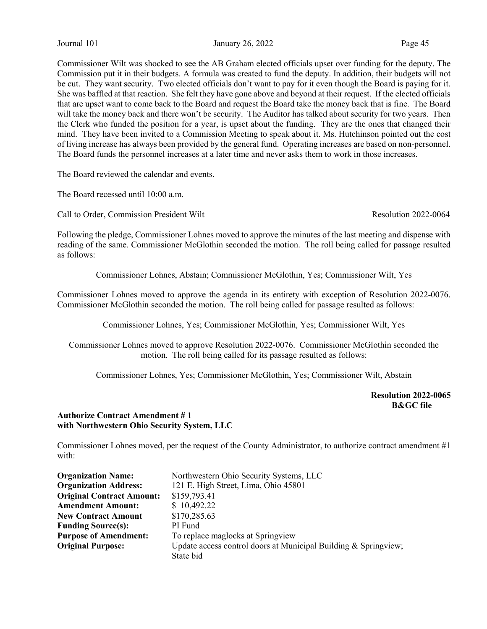Journal 101 **January 26, 2022** Page 45

Commissioner Wilt was shocked to see the AB Graham elected officials upset over funding for the deputy. The Commission put it in their budgets. A formula was created to fund the deputy. In addition, their budgets will not be cut. They want security. Two elected officials don't want to pay for it even though the Board is paying for it. She was baffled at that reaction. She felt they have gone above and beyond at their request. If the elected officials that are upset want to come back to the Board and request the Board take the money back that is fine. The Board will take the money back and there won't be security. The Auditor has talked about security for two years. Then the Clerk who funded the position for a year, is upset about the funding. They are the ones that changed their mind. They have been invited to a Commission Meeting to speak about it. Ms. Hutchinson pointed out the cost of living increase has always been provided by the general fund. Operating increases are based on non-personnel. The Board funds the personnel increases at a later time and never asks them to work in those increases.

The Board reviewed the calendar and events.

The Board recessed until 10:00 a.m.

Call to Order, Commission President Wilt **Resolution 2022-0064** Resolution 2022-0064

Following the pledge, Commissioner Lohnes moved to approve the minutes of the last meeting and dispense with reading of the same. Commissioner McGlothin seconded the motion. The roll being called for passage resulted as follows:

Commissioner Lohnes, Abstain; Commissioner McGlothin, Yes; Commissioner Wilt, Yes

Commissioner Lohnes moved to approve the agenda in its entirety with exception of Resolution 2022-0076. Commissioner McGlothin seconded the motion. The roll being called for passage resulted as follows:

Commissioner Lohnes, Yes; Commissioner McGlothin, Yes; Commissioner Wilt, Yes

Commissioner Lohnes moved to approve Resolution 2022-0076. Commissioner McGlothin seconded the motion. The roll being called for its passage resulted as follows:

Commissioner Lohnes, Yes; Commissioner McGlothin, Yes; Commissioner Wilt, Abstain

Resolution 2022-0065 B&GC file

#### Authorize Contract Amendment # 1 with Northwestern Ohio Security System, LLC

Commissioner Lohnes moved, per the request of the County Administrator, to authorize contract amendment #1 with:

| <b>Organization Name:</b>        | Northwestern Ohio Security Systems, LLC                         |
|----------------------------------|-----------------------------------------------------------------|
| <b>Organization Address:</b>     | 121 E. High Street, Lima, Ohio 45801                            |
| <b>Original Contract Amount:</b> | \$159,793.41                                                    |
| <b>Amendment Amount:</b>         | \$10,492.22                                                     |
| <b>New Contract Amount</b>       | \$170,285.63                                                    |
| <b>Funding Source(s):</b>        | PI Fund                                                         |
| <b>Purpose of Amendment:</b>     | To replace maglocks at Springview                               |
| <b>Original Purpose:</b>         | Update access control doors at Municipal Building & Springview; |
|                                  | State bid                                                       |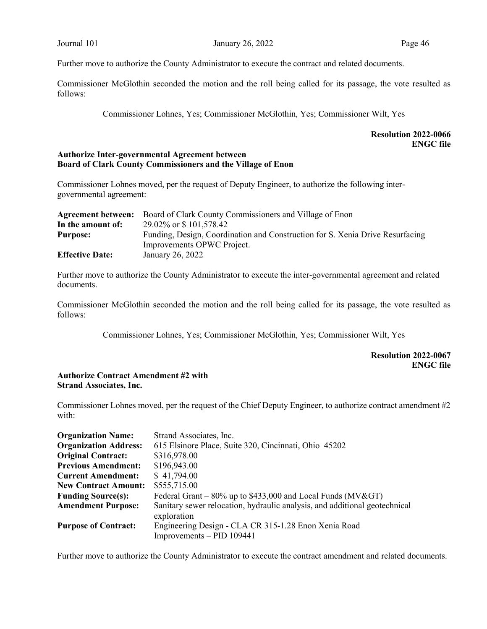Further move to authorize the County Administrator to execute the contract and related documents.

Commissioner McGlothin seconded the motion and the roll being called for its passage, the vote resulted as follows:

Commissioner Lohnes, Yes; Commissioner McGlothin, Yes; Commissioner Wilt, Yes

### Resolution 2022-0066 ENGC file

#### Authorize Inter-governmental Agreement between Board of Clark County Commissioners and the Village of Enon

Commissioner Lohnes moved, per the request of Deputy Engineer, to authorize the following intergovernmental agreement:

|                        | <b>Agreement between:</b> Board of Clark County Commissioners and Village of Enon |
|------------------------|-----------------------------------------------------------------------------------|
| In the amount of:      | 29.02\% or \\$ 101,578.42                                                         |
| <b>Purpose:</b>        | Funding, Design, Coordination and Construction for S. Xenia Drive Resurfacing     |
|                        | Improvements OPWC Project.                                                        |
| <b>Effective Date:</b> | January 26, 2022                                                                  |

Further move to authorize the County Administrator to execute the inter-governmental agreement and related documents.

Commissioner McGlothin seconded the motion and the roll being called for its passage, the vote resulted as follows:

Commissioner Lohnes, Yes; Commissioner McGlothin, Yes; Commissioner Wilt, Yes

Resolution 2022-0067 ENGC file

### Authorize Contract Amendment #2 with Strand Associates, Inc.

Commissioner Lohnes moved, per the request of the Chief Deputy Engineer, to authorize contract amendment #2 with:

| <b>Organization Name:</b>    | Strand Associates, Inc.                                                                   |
|------------------------------|-------------------------------------------------------------------------------------------|
| <b>Organization Address:</b> | 615 Elsinore Place, Suite 320, Cincinnati, Ohio 45202                                     |
| <b>Original Contract:</b>    | \$316,978.00                                                                              |
| <b>Previous Amendment:</b>   | \$196,943.00                                                                              |
| <b>Current Amendment:</b>    | \$41,794.00                                                                               |
| <b>New Contract Amount:</b>  | \$555,715.00                                                                              |
| <b>Funding Source(s):</b>    | Federal Grant – 80% up to \$433,000 and Local Funds (MV>)                                 |
| <b>Amendment Purpose:</b>    | Sanitary sewer relocation, hydraulic analysis, and additional geotechnical<br>exploration |
| <b>Purpose of Contract:</b>  | Engineering Design - CLA CR 315-1.28 Enon Xenia Road                                      |
|                              | $Improvements - PID 109441$                                                               |

Further move to authorize the County Administrator to execute the contract amendment and related documents.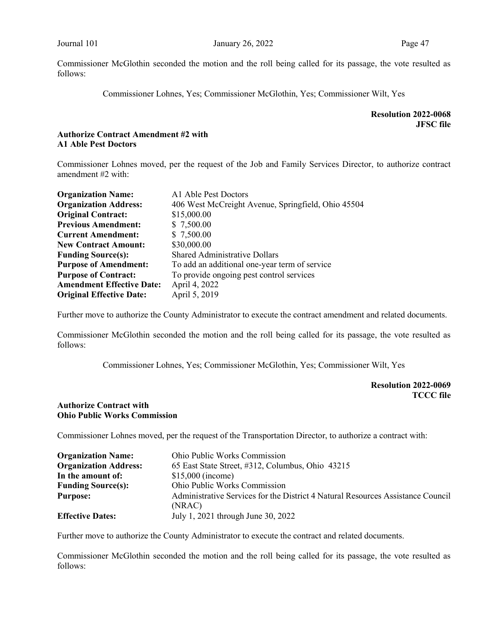Commissioner Lohnes, Yes; Commissioner McGlothin, Yes; Commissioner Wilt, Yes

Resolution 2022-0068 JFSC file

#### Authorize Contract Amendment #2 with A1 Able Pest Doctors

Commissioner Lohnes moved, per the request of the Job and Family Services Director, to authorize contract amendment #2 with:

| <b>Organization Name:</b>        | A1 Able Pest Doctors                               |
|----------------------------------|----------------------------------------------------|
| <b>Organization Address:</b>     | 406 West McCreight Avenue, Springfield, Ohio 45504 |
| <b>Original Contract:</b>        | \$15,000.00                                        |
| <b>Previous Amendment:</b>       | \$7,500.00                                         |
| <b>Current Amendment:</b>        | \$7,500.00                                         |
| <b>New Contract Amount:</b>      | \$30,000.00                                        |
| <b>Funding Source(s):</b>        | <b>Shared Administrative Dollars</b>               |
| <b>Purpose of Amendment:</b>     | To add an additional one-year term of service      |
| <b>Purpose of Contract:</b>      | To provide ongoing pest control services           |
| <b>Amendment Effective Date:</b> | April 4, 2022                                      |
| <b>Original Effective Date:</b>  | April 5, 2019                                      |

Further move to authorize the County Administrator to execute the contract amendment and related documents.

Commissioner McGlothin seconded the motion and the roll being called for its passage, the vote resulted as follows:

Commissioner Lohnes, Yes; Commissioner McGlothin, Yes; Commissioner Wilt, Yes

Resolution 2022-0069 TCCC file

#### Authorize Contract with Ohio Public Works Commission

Commissioner Lohnes moved, per the request of the Transportation Director, to authorize a contract with:

| <b>Organization Name:</b>    | <b>Ohio Public Works Commission</b>                                             |
|------------------------------|---------------------------------------------------------------------------------|
| <b>Organization Address:</b> | 65 East State Street, #312, Columbus, Ohio 43215                                |
| In the amount of:            | $$15,000$ (income)                                                              |
| <b>Funding Source(s):</b>    | Ohio Public Works Commission                                                    |
| <b>Purpose:</b>              | Administrative Services for the District 4 Natural Resources Assistance Council |
|                              | (NRAC)                                                                          |
| <b>Effective Dates:</b>      | July 1, 2021 through June 30, 2022                                              |

Further move to authorize the County Administrator to execute the contract and related documents.

Commissioner McGlothin seconded the motion and the roll being called for its passage, the vote resulted as follows: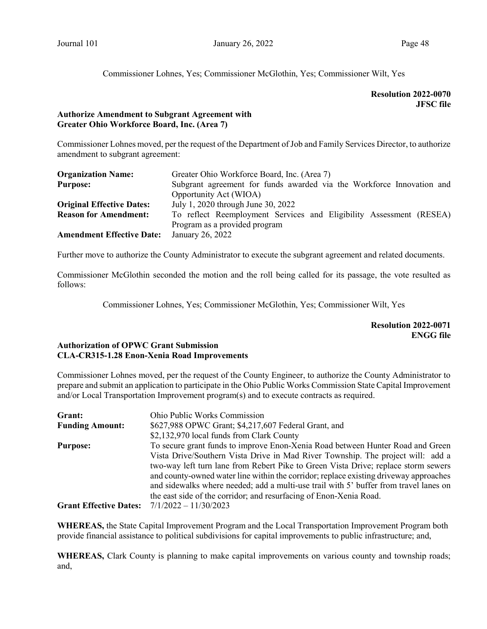Commissioner Lohnes, Yes; Commissioner McGlothin, Yes; Commissioner Wilt, Yes

## Resolution 2022-0070 JFSC file

### Authorize Amendment to Subgrant Agreement with Greater Ohio Workforce Board, Inc. (Area 7)

Commissioner Lohnes moved, per the request of the Department of Job and Family Services Director, to authorize amendment to subgrant agreement:

| <b>Organization Name:</b>        | Greater Ohio Workforce Board, Inc. (Area 7)                           |  |  |  |
|----------------------------------|-----------------------------------------------------------------------|--|--|--|
| <b>Purpose:</b>                  | Subgrant agreement for funds awarded via the Workforce Innovation and |  |  |  |
|                                  | Opportunity Act (WIOA)                                                |  |  |  |
| <b>Original Effective Dates:</b> | July 1, 2020 through June 30, 2022                                    |  |  |  |
| <b>Reason for Amendment:</b>     | To reflect Reemployment Services and Eligibility Assessment (RESEA)   |  |  |  |
|                                  | Program as a provided program                                         |  |  |  |
| <b>Amendment Effective Date:</b> | January 26, 2022                                                      |  |  |  |

Further move to authorize the County Administrator to execute the subgrant agreement and related documents.

Commissioner McGlothin seconded the motion and the roll being called for its passage, the vote resulted as follows:

Commissioner Lohnes, Yes; Commissioner McGlothin, Yes; Commissioner Wilt, Yes

Resolution 2022-0071 ENGG file

### Authorization of OPWC Grant Submission CLA-CR315-1.28 Enon-Xenia Road Improvements

Commissioner Lohnes moved, per the request of the County Engineer, to authorize the County Administrator to prepare and submit an application to participate in the Ohio Public Works Commission State Capital Improvement and/or Local Transportation Improvement program(s) and to execute contracts as required.

| Grant:                        | Ohio Public Works Commission                                                          |  |  |
|-------------------------------|---------------------------------------------------------------------------------------|--|--|
| <b>Funding Amount:</b>        | \$627,988 OPWC Grant; \$4,217,607 Federal Grant, and                                  |  |  |
|                               | \$2,132,970 local funds from Clark County                                             |  |  |
| <b>Purpose:</b>               | To secure grant funds to improve Enon-Xenia Road between Hunter Road and Green        |  |  |
|                               | Vista Drive/Southern Vista Drive in Mad River Township. The project will: add a       |  |  |
|                               | two-way left turn lane from Rebert Pike to Green Vista Drive; replace storm sewers    |  |  |
|                               | and county-owned water line within the corridor; replace existing driveway approaches |  |  |
|                               | and sidewalks where needed; add a multi-use trail with 5' buffer from travel lanes on |  |  |
|                               | the east side of the corridor; and resurfacing of Enon-Xenia Road.                    |  |  |
| <b>Grant Effective Dates:</b> | $7/1/2022 - 11/30/2023$                                                               |  |  |

WHEREAS, the State Capital Improvement Program and the Local Transportation Improvement Program both provide financial assistance to political subdivisions for capital improvements to public infrastructure; and,

WHEREAS, Clark County is planning to make capital improvements on various county and township roads; and,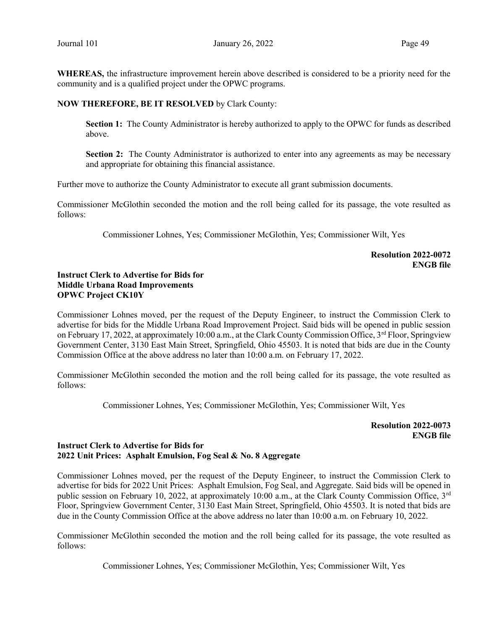WHEREAS, the infrastructure improvement herein above described is considered to be a priority need for the community and is a qualified project under the OPWC programs.

#### NOW THEREFORE, BE IT RESOLVED by Clark County:

Section 1: The County Administrator is hereby authorized to apply to the OPWC for funds as described above.

Section 2: The County Administrator is authorized to enter into any agreements as may be necessary and appropriate for obtaining this financial assistance.

Further move to authorize the County Administrator to execute all grant submission documents.

Commissioner McGlothin seconded the motion and the roll being called for its passage, the vote resulted as follows:

Commissioner Lohnes, Yes; Commissioner McGlothin, Yes; Commissioner Wilt, Yes

Resolution 2022-0072 ENGB file

## Instruct Clerk to Advertise for Bids for Middle Urbana Road Improvements OPWC Project CK10Y

Commissioner Lohnes moved, per the request of the Deputy Engineer, to instruct the Commission Clerk to advertise for bids for the Middle Urbana Road Improvement Project. Said bids will be opened in public session on February 17, 2022, at approximately 10:00 a.m., at the Clark County Commission Office, 3rd Floor, Springview Government Center, 3130 East Main Street, Springfield, Ohio 45503. It is noted that bids are due in the County Commission Office at the above address no later than 10:00 a.m. on February 17, 2022.

Commissioner McGlothin seconded the motion and the roll being called for its passage, the vote resulted as follows:

Commissioner Lohnes, Yes; Commissioner McGlothin, Yes; Commissioner Wilt, Yes

Resolution 2022-0073 ENGB file

## Instruct Clerk to Advertise for Bids for 2022 Unit Prices: Asphalt Emulsion, Fog Seal & No. 8 Aggregate

Commissioner Lohnes moved, per the request of the Deputy Engineer, to instruct the Commission Clerk to advertise for bids for 2022 Unit Prices: Asphalt Emulsion, Fog Seal, and Aggregate. Said bids will be opened in public session on February 10, 2022, at approximately 10:00 a.m., at the Clark County Commission Office, 3<sup>rd</sup> Floor, Springview Government Center, 3130 East Main Street, Springfield, Ohio 45503. It is noted that bids are due in the County Commission Office at the above address no later than 10:00 a.m. on February 10, 2022.

Commissioner McGlothin seconded the motion and the roll being called for its passage, the vote resulted as follows:

Commissioner Lohnes, Yes; Commissioner McGlothin, Yes; Commissioner Wilt, Yes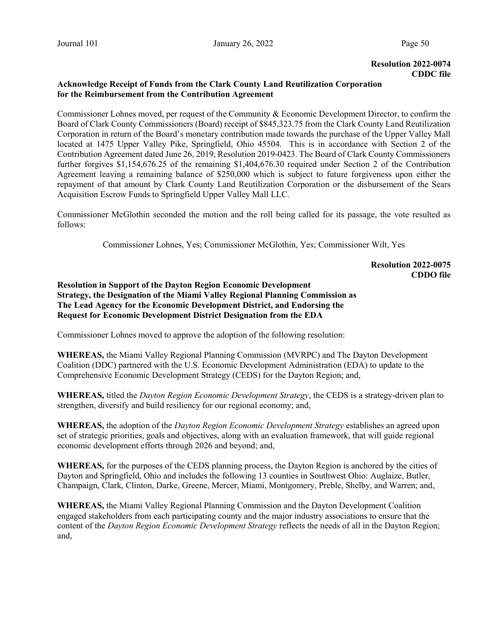#### Resolution 2022-0074 CDDC file

### Acknowledge Receipt of Funds from the Clark County Land Reutilization Corporation for the Reimbursement from the Contribution Agreement

Commissioner Lohnes moved, per request of the Community & Economic Development Director, to confirm the Board of Clark County Commissioners (Board) receipt of \$845,323.75 from the Clark County Land Reutilization Corporation in return of the Board's monetary contribution made towards the purchase of the Upper Valley Mall located at 1475 Upper Valley Pike, Springfield, Ohio 45504. This is in accordance with Section 2 of the Contribution Agreement dated June 26, 2019, Resolution 2019-0423. The Board of Clark County Commissioners further forgives \$1,154,676.25 of the remaining \$1,404,676.30 required under Section 2 of the Contribution Agreement leaving a remaining balance of \$250,000 which is subject to future forgiveness upon either the repayment of that amount by Clark County Land Reutilization Corporation or the disbursement of the Sears Acquisition Escrow Funds to Springfield Upper Valley Mall LLC.

Commissioner McGlothin seconded the motion and the roll being called for its passage, the vote resulted as follows:

Commissioner Lohnes, Yes; Commissioner McGlothin, Yes; Commissioner Wilt, Yes

## Resolution 2022-0075 CDDO file

Resolution in Support of the Dayton Region Economic Development Strategy, the Designation of the Miami Valley Regional Planning Commission as The Lead Agency for the Economic Development District, and Endorsing the Request for Economic Development District Designation from the EDA

Commissioner Lohnes moved to approve the adoption of the following resolution:

WHEREAS, the Miami Valley Regional Planning Commission (MVRPC) and The Dayton Development Coalition (DDC) partnered with the U.S. Economic Development Administration (EDA) to update to the Comprehensive Economic Development Strategy (CEDS) for the Dayton Region; and,

WHEREAS, titled the *Dayton Region Economic Development Strategy*, the CEDS is a strategy-driven plan to strengthen, diversify and build resiliency for our regional economy; and,

WHEREAS, the adoption of the *Dayton Region Economic Development Strategy* establishes an agreed upon set of strategic priorities, goals and objectives, along with an evaluation framework, that will guide regional economic development efforts through 2026 and beyond; and,

WHEREAS, for the purposes of the CEDS planning process, the Dayton Region is anchored by the cities of Dayton and Springfield, Ohio and includes the following 13 counties in Southwest Ohio: Auglaize, Butler, Champaign, Clark, Clinton, Darke, Greene, Mercer, Miami, Montgomery, Preble, Shelby, and Warren; and,

WHEREAS, the Miami Valley Regional Planning Commission and the Dayton Development Coalition engaged stakeholders from each participating county and the major industry associations to ensure that the content of the Dayton Region Economic Development Strategy reflects the needs of all in the Dayton Region; and,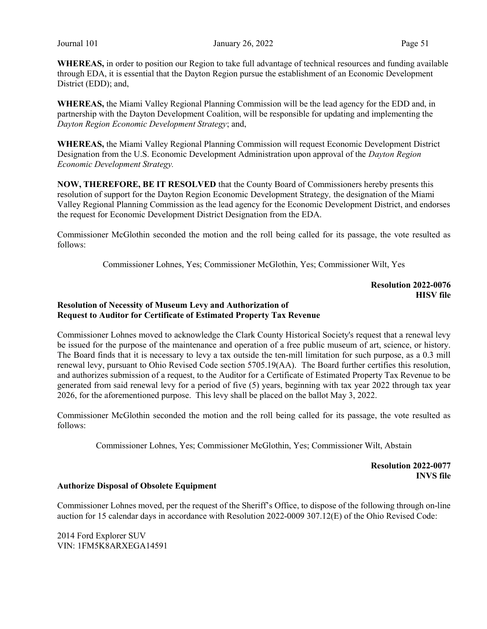WHEREAS, in order to position our Region to take full advantage of technical resources and funding available through EDA, it is essential that the Dayton Region pursue the establishment of an Economic Development District (EDD); and,

WHEREAS, the Miami Valley Regional Planning Commission will be the lead agency for the EDD and, in partnership with the Dayton Development Coalition, will be responsible for updating and implementing the Dayton Region Economic Development Strategy; and,

WHEREAS, the Miami Valley Regional Planning Commission will request Economic Development District Designation from the U.S. Economic Development Administration upon approval of the Dayton Region Economic Development Strategy.

NOW, THEREFORE, BE IT RESOLVED that the County Board of Commissioners hereby presents this resolution of support for the Dayton Region Economic Development Strategy, the designation of the Miami Valley Regional Planning Commission as the lead agency for the Economic Development District, and endorses the request for Economic Development District Designation from the EDA.

Commissioner McGlothin seconded the motion and the roll being called for its passage, the vote resulted as follows:

Commissioner Lohnes, Yes; Commissioner McGlothin, Yes; Commissioner Wilt, Yes

#### Resolution 2022-0076 HISV file

#### Resolution of Necessity of Museum Levy and Authorization of Request to Auditor for Certificate of Estimated Property Tax Revenue

Commissioner Lohnes moved to acknowledge the Clark County Historical Society's request that a renewal levy be issued for the purpose of the maintenance and operation of a free public museum of art, science, or history. The Board finds that it is necessary to levy a tax outside the ten-mill limitation for such purpose, as a 0.3 mill renewal levy, pursuant to Ohio Revised Code section 5705.19(AA). The Board further certifies this resolution, and authorizes submission of a request, to the Auditor for a Certificate of Estimated Property Tax Revenue to be generated from said renewal levy for a period of five (5) years, beginning with tax year 2022 through tax year 2026, for the aforementioned purpose. This levy shall be placed on the ballot May 3, 2022.

Commissioner McGlothin seconded the motion and the roll being called for its passage, the vote resulted as follows:

Commissioner Lohnes, Yes; Commissioner McGlothin, Yes; Commissioner Wilt, Abstain

Resolution 2022-0077 INVS file

### Authorize Disposal of Obsolete Equipment

Commissioner Lohnes moved, per the request of the Sheriff's Office, to dispose of the following through on-line auction for 15 calendar days in accordance with Resolution 2022-0009 307.12(E) of the Ohio Revised Code:

2014 Ford Explorer SUV VIN: 1FM5K8ARXEGA14591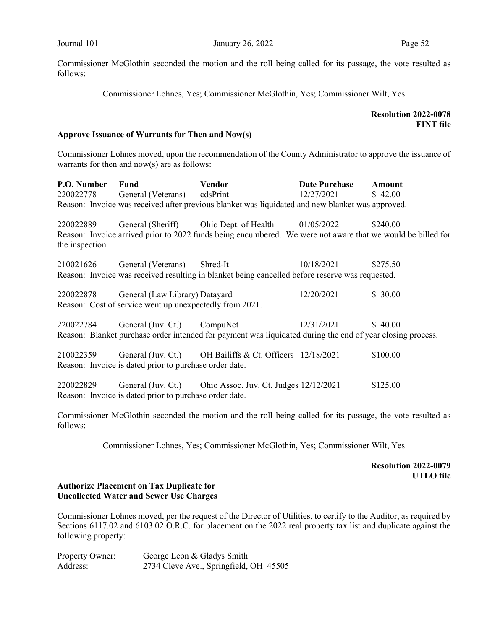Commissioner Lohnes, Yes; Commissioner McGlothin, Yes; Commissioner Wilt, Yes

## Resolution 2022-0078 FINT file

#### Approve Issuance of Warrants for Then and Now(s)

Commissioner Lohnes moved, upon the recommendation of the County Administrator to approve the issuance of warrants for then and now(s) are as follows:

| P.O. Number     | <b>Fund</b><br>220022778 General (Veterans) cdsPrint    | <b>Vendor</b>                                                                                               | Date Purchase<br>12/27/2021 | Amount<br>\$42.00 |
|-----------------|---------------------------------------------------------|-------------------------------------------------------------------------------------------------------------|-----------------------------|-------------------|
|                 |                                                         | Reason: Invoice was received after previous blanket was liquidated and new blanket was approved.            |                             |                   |
|                 |                                                         |                                                                                                             |                             |                   |
|                 |                                                         | 220022889 General (Sheriff) Ohio Dept. of Health 01/05/2022                                                 |                             | \$240.00          |
| the inspection. |                                                         | Reason: Invoice arrived prior to 2022 funds being encumbered. We were not aware that we would be billed for |                             |                   |
|                 | 210021626 General (Veterans)                            | Shred-It                                                                                                    | 10/18/2021                  | \$275.50          |
|                 |                                                         | Reason: Invoice was received resulting in blanket being cancelled before reserve was requested.             |                             |                   |
|                 | 220022878 General (Law Library) Datayard                |                                                                                                             | 12/20/2021                  | \$30.00           |
|                 | Reason: Cost of service went up unexpectedly from 2021. |                                                                                                             |                             |                   |
|                 |                                                         | 220022784 General (Juv. Ct.) CompuNet 12/31/2021                                                            |                             | \$40.00           |
|                 |                                                         | Reason: Blanket purchase order intended for payment was liquidated during the end of year closing process.  |                             |                   |
|                 | Reason: Invoice is dated prior to purchase order date.  | 210022359 General (Juv. Ct.) OH Bailiffs & Ct. Officers 12/18/2021                                          |                             | \$100.00          |
|                 | Reason: Invoice is dated prior to purchase order date.  | 220022829 General (Juv. Ct.) Ohio Assoc. Juv. Ct. Judges 12/12/2021                                         |                             | \$125.00          |

Commissioner McGlothin seconded the motion and the roll being called for its passage, the vote resulted as follows:

Commissioner Lohnes, Yes; Commissioner McGlothin, Yes; Commissioner Wilt, Yes

Resolution 2022-0079 UTLO file

## Authorize Placement on Tax Duplicate for Uncollected Water and Sewer Use Charges

Commissioner Lohnes moved, per the request of the Director of Utilities, to certify to the Auditor, as required by Sections 6117.02 and 6103.02 O.R.C. for placement on the 2022 real property tax list and duplicate against the following property:

| Property Owner: | George Leon & Gladys Smith             |
|-----------------|----------------------------------------|
| Address:        | 2734 Cleve Ave., Springfield, OH 45505 |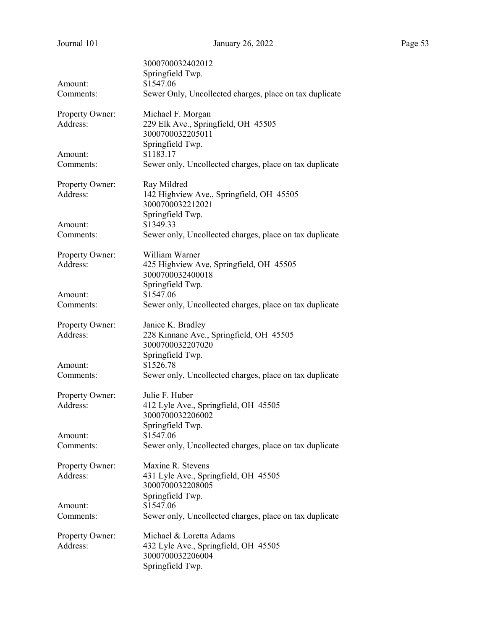| Page 5 |  |
|--------|--|
|        |  |

| Journal 101                 | January 26, 2022                                                     | Page 53 |
|-----------------------------|----------------------------------------------------------------------|---------|
|                             | 3000700032402012                                                     |         |
|                             | Springfield Twp.                                                     |         |
| Amount:                     | \$1547.06                                                            |         |
| Comments:                   | Sewer Only, Uncollected charges, place on tax duplicate              |         |
| Property Owner:             | Michael F. Morgan                                                    |         |
| Address:                    | 229 Elk Ave., Springfield, OH 45505                                  |         |
|                             | 3000700032205011                                                     |         |
| Amount:                     | Springfield Twp.<br>\$1183.17                                        |         |
| Comments:                   | Sewer only, Uncollected charges, place on tax duplicate              |         |
|                             |                                                                      |         |
| Property Owner:<br>Address: | Ray Mildred<br>142 Highview Ave., Springfield, OH 45505              |         |
|                             | 3000700032212021                                                     |         |
|                             | Springfield Twp.                                                     |         |
| Amount:                     | \$1349.33                                                            |         |
| Comments:                   | Sewer only, Uncollected charges, place on tax duplicate              |         |
| Property Owner:             | William Warner                                                       |         |
| Address:                    | 425 Highview Ave, Springfield, OH 45505                              |         |
|                             | 3000700032400018                                                     |         |
|                             | Springfield Twp.                                                     |         |
| Amount:<br>Comments:        | \$1547.06<br>Sewer only, Uncollected charges, place on tax duplicate |         |
|                             |                                                                      |         |
| Property Owner:             | Janice K. Bradley                                                    |         |
| Address:                    | 228 Kinnane Ave., Springfield, OH 45505                              |         |
|                             | 3000700032207020                                                     |         |
| Amount:                     | Springfield Twp.<br>\$1526.78                                        |         |
| Comments:                   | Sewer only, Uncollected charges, place on tax duplicate              |         |
|                             |                                                                      |         |
| Property Owner:             | Julie F. Huber                                                       |         |
| Address:                    | 412 Lyle Ave., Springfield, OH 45505                                 |         |
|                             | 3000700032206002<br>Springfield Twp.                                 |         |
| Amount:                     | \$1547.06                                                            |         |
| Comments:                   | Sewer only, Uncollected charges, place on tax duplicate              |         |
| Property Owner:             | Maxine R. Stevens                                                    |         |
| Address:                    | 431 Lyle Ave., Springfield, OH 45505                                 |         |
|                             | 3000700032208005                                                     |         |
|                             | Springfield Twp.                                                     |         |
| Amount:                     | \$1547.06                                                            |         |
| Comments:                   | Sewer only, Uncollected charges, place on tax duplicate              |         |
| Property Owner:             | Michael & Loretta Adams                                              |         |
| Address:                    | 432 Lyle Ave., Springfield, OH 45505                                 |         |
|                             | 3000700032206004                                                     |         |
|                             | Springfield Twp.                                                     |         |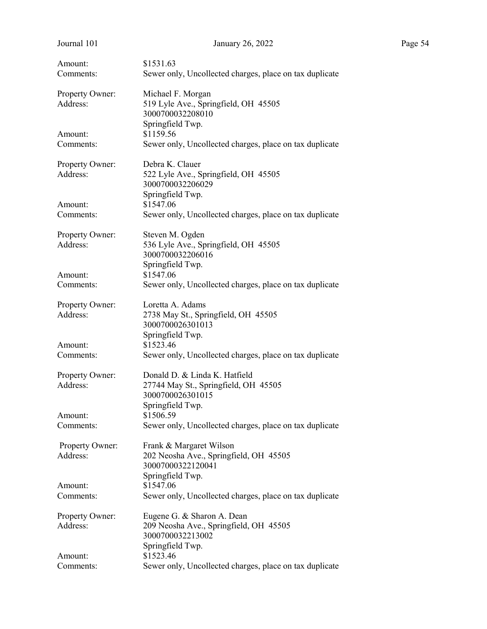| Journal 101                 | January 26, 2022                                                                                              | Page 54 |
|-----------------------------|---------------------------------------------------------------------------------------------------------------|---------|
| Amount:<br>Comments:        | \$1531.63<br>Sewer only, Uncollected charges, place on tax duplicate                                          |         |
| Property Owner:<br>Address: | Michael F. Morgan<br>519 Lyle Ave., Springfield, OH 45505<br>3000700032208010                                 |         |
| Amount:<br>Comments:        | Springfield Twp.<br>\$1159.56<br>Sewer only, Uncollected charges, place on tax duplicate                      |         |
| Property Owner:<br>Address: | Debra K. Clauer<br>522 Lyle Ave., Springfield, OH 45505<br>3000700032206029                                   |         |
| Amount:<br>Comments:        | Springfield Twp.<br>\$1547.06<br>Sewer only, Uncollected charges, place on tax duplicate                      |         |
| Property Owner:<br>Address: | Steven M. Ogden<br>536 Lyle Ave., Springfield, OH 45505<br>3000700032206016                                   |         |
| Amount:<br>Comments:        | Springfield Twp.<br>\$1547.06<br>Sewer only, Uncollected charges, place on tax duplicate                      |         |
| Property Owner:<br>Address: | Loretta A. Adams<br>2738 May St., Springfield, OH 45505<br>3000700026301013<br>Springfield Twp.               |         |
| Amount:<br>Comments:        | \$1523.46<br>Sewer only, Uncollected charges, place on tax duplicate                                          |         |
| Property Owner:<br>Address: | Donald D. & Linda K. Hatfield<br>27744 May St., Springfield, OH 45505<br>3000700026301015<br>Springfield Twp. |         |
| Amount:<br>Comments:        | \$1506.59<br>Sewer only, Uncollected charges, place on tax duplicate                                          |         |
| Property Owner:<br>Address: | Frank & Margaret Wilson<br>202 Neosha Ave., Springfield, OH 45505<br>30007000322120041                        |         |
| Amount:<br>Comments:        | Springfield Twp.<br>\$1547.06<br>Sewer only, Uncollected charges, place on tax duplicate                      |         |
| Property Owner:<br>Address: | Eugene G. & Sharon A. Dean<br>209 Neosha Ave., Springfield, OH 45505<br>3000700032213002<br>Springfield Twp.  |         |
| Amount:<br>Comments:        | \$1523.46<br>Sewer only, Uncollected charges, place on tax duplicate                                          |         |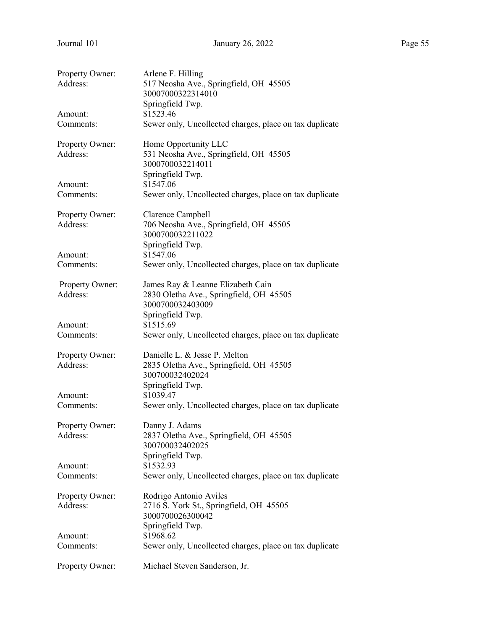| Property Owner:<br>Address: | Arlene F. Hilling<br>517 Neosha Ave., Springfield, OH 45505<br>30007000322314010<br>Springfield Twp. |
|-----------------------------|------------------------------------------------------------------------------------------------------|
| Amount:                     | \$1523.46                                                                                            |
| Comments:                   | Sewer only, Uncollected charges, place on tax duplicate                                              |
| Property Owner:             | Home Opportunity LLC                                                                                 |
| Address:                    | 531 Neosha Ave., Springfield, OH 45505<br>3000700032214011                                           |
| Amount:                     | Springfield Twp.<br>\$1547.06                                                                        |
| Comments:                   | Sewer only, Uncollected charges, place on tax duplicate                                              |
|                             |                                                                                                      |
| Property Owner:             | Clarence Campbell                                                                                    |
| Address:                    | 706 Neosha Ave., Springfield, OH 45505<br>3000700032211022                                           |
|                             | Springfield Twp.                                                                                     |
| Amount:                     | \$1547.06                                                                                            |
| Comments:                   | Sewer only, Uncollected charges, place on tax duplicate                                              |
| Property Owner:<br>Address: | James Ray & Leanne Elizabeth Cain<br>2830 Oletha Ave., Springfield, OH 45505                         |
|                             | 3000700032403009<br>Springfield Twp.                                                                 |
| Amount:                     | \$1515.69                                                                                            |
| Comments:                   | Sewer only, Uncollected charges, place on tax duplicate                                              |
| Property Owner:             | Danielle L. & Jesse P. Melton                                                                        |
| Address:                    | 2835 Oletha Ave., Springfield, OH 45505<br>300700032402024                                           |
|                             | Springfield Twp.                                                                                     |
| Amount:                     | \$1039.47                                                                                            |
| Comments:                   | Sewer only, Uncollected charges, place on tax duplicate                                              |
| Property Owner:             | Danny J. Adams                                                                                       |
| Address:                    | 2837 Oletha Ave., Springfield, OH 45505<br>300700032402025                                           |
|                             | Springfield Twp.                                                                                     |
| Amount:                     | \$1532.93                                                                                            |
| Comments:                   | Sewer only, Uncollected charges, place on tax duplicate                                              |
| Property Owner:             | Rodrigo Antonio Aviles                                                                               |
| Address:                    | 2716 S. York St., Springfield, OH 45505<br>3000700026300042                                          |
|                             | Springfield Twp.                                                                                     |
| Amount:                     | \$1968.62                                                                                            |
| Comments:                   | Sewer only, Uncollected charges, place on tax duplicate                                              |
| Property Owner:             | Michael Steven Sanderson, Jr.                                                                        |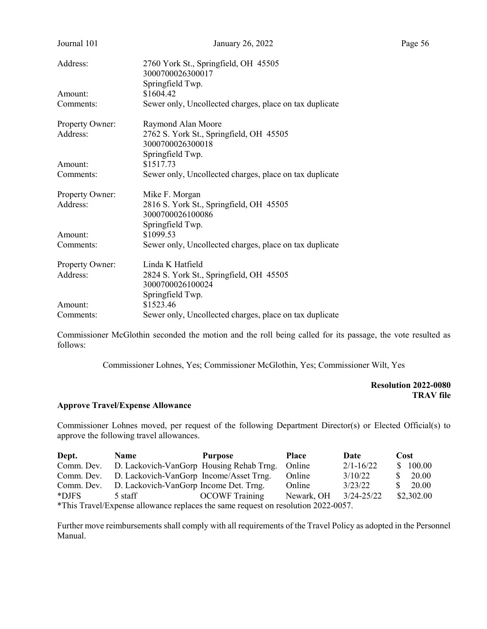| Journal 101     | January 26, 2022                                        |  |  |  |  |  |
|-----------------|---------------------------------------------------------|--|--|--|--|--|
| Address:        | 2760 York St., Springfield, OH 45505                    |  |  |  |  |  |
|                 | 3000700026300017                                        |  |  |  |  |  |
|                 | Springfield Twp.                                        |  |  |  |  |  |
| Amount:         | \$1604.42                                               |  |  |  |  |  |
| Comments:       | Sewer only, Uncollected charges, place on tax duplicate |  |  |  |  |  |
| Property Owner: | Raymond Alan Moore                                      |  |  |  |  |  |
| Address:        | 2762 S. York St., Springfield, OH 45505                 |  |  |  |  |  |
|                 | 3000700026300018                                        |  |  |  |  |  |
|                 | Springfield Twp.                                        |  |  |  |  |  |
| Amount:         | \$1517.73                                               |  |  |  |  |  |
| Comments:       | Sewer only, Uncollected charges, place on tax duplicate |  |  |  |  |  |
| Property Owner: | Mike F. Morgan                                          |  |  |  |  |  |
| Address:        | 2816 S. York St., Springfield, OH 45505                 |  |  |  |  |  |
|                 | 3000700026100086                                        |  |  |  |  |  |
|                 | Springfield Twp.                                        |  |  |  |  |  |
| Amount:         | \$1099.53                                               |  |  |  |  |  |
| Comments:       | Sewer only, Uncollected charges, place on tax duplicate |  |  |  |  |  |
| Property Owner: | Linda K Hatfield                                        |  |  |  |  |  |
| Address:        | 2824 S. York St., Springfield, OH 45505                 |  |  |  |  |  |
|                 | 3000700026100024                                        |  |  |  |  |  |
|                 | Springfield Twp.                                        |  |  |  |  |  |
| Amount:         | \$1523.46                                               |  |  |  |  |  |
| Comments:       | Sewer only, Uncollected charges, place on tax duplicate |  |  |  |  |  |

Commissioner Lohnes, Yes; Commissioner McGlothin, Yes; Commissioner Wilt, Yes

Resolution 2022-0080 TRAV file

#### Approve Travel/Expense Allowance

Commissioner Lohnes moved, per request of the following Department Director(s) or Elected Official(s) to approve the following travel allowances.

| Dept.                                                                             | <b>Name</b>                              | <b>Purpose</b>        | <b>Place</b> | Date          | Cost         |  |  |
|-----------------------------------------------------------------------------------|------------------------------------------|-----------------------|--------------|---------------|--------------|--|--|
| Comm. Dev.                                                                        | D. Lackovich-VanGorp Housing Rehab Trng. |                       | Online       | $2/1 - 16/22$ | \$100.00     |  |  |
| Comm. Dev.                                                                        | D. Lackovich-VanGorp Income/Asset Trng.  |                       | Online       | 3/10/22       | 20.00        |  |  |
| Comm. Dev.                                                                        | D. Lackovich-VanGorp Income Det. Trng.   |                       | Online       | 3/23/22       | 20.00<br>SS. |  |  |
| *DJFS                                                                             | 5 staff                                  | <b>OCOWF</b> Training | Newark, OH   | 3/24-25/22    | \$2,302.00   |  |  |
| *This Travel/Expense allowance replaces the same request on resolution 2022-0057. |                                          |                       |              |               |              |  |  |

Further move reimbursements shall comply with all requirements of the Travel Policy as adopted in the Personnel Manual.